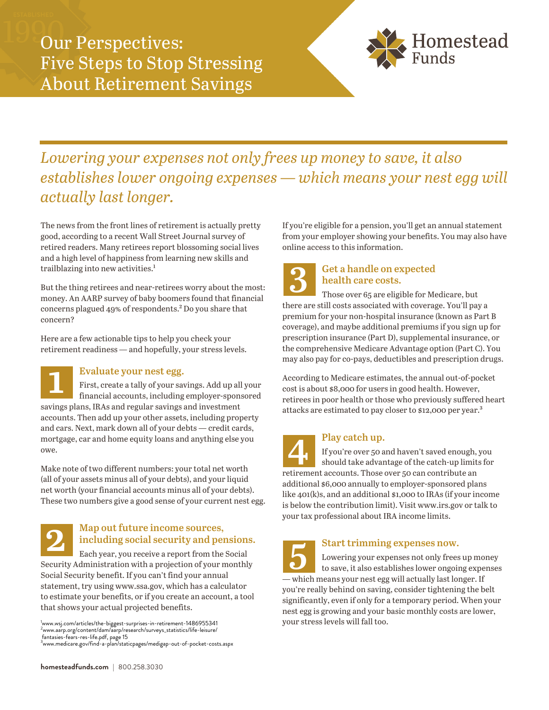

# *Lowering your expenses not only frees up money to save, it also establishes lower ongoing expenses — which means your nest egg will actually last longer.*

The news from the front lines of retirement is actually pretty good, according to a recent Wall Street Journal survey of retired readers. Many retirees report blossoming social lives and a high level of happiness from learning new skills and trailblazing into new activities.<sup>1</sup>

But the thing retirees and near-retirees worry about the most: money. An AARP survey of baby boomers found that financial concerns plagued 49% of respondents.² Do you share that concern?

Here are a few actionable tips to help you check your retirement readiness — and hopefully, your stress levels.

# **Evaluate your nest egg.**

**1** First, create a tally of your savings. Add up all your financial accounts, including employer-sponsored savings plans, IRAs and regular savings and investment accounts. Then add up your other assets, including property and cars. Next, mark down all of your debts — credit cards, mortgage, car and home equity loans and anything else you owe.

Make note of two different numbers: your total net worth (all of your assets minus all of your debts), and your liquid net worth (your financial accounts minus all of your debts). These two numbers give a good sense of your current nest egg.

# **Map out future income sources, including social security and pensions.**

**2** Each year, you receive a report from the Social Security Administration with a projection of your monthly Social Security benefit. If you can't find your annual statement, try using www.ssa.gov, which has a calculator to estimate your benefits, or if you create an account, a tool that shows your actual projected benefits.

<sup>1</sup>www.wsj.com/articles/the-biggest-surprises-in-retirement-1486955341<br><sup>2</sup>www.aarp.org/content/dam/aarp/research/surveys\_statistics/life-leisure/<br><sub>-</sub>fantasies-fears-res-life.pdf, page 15

<sup>3</sup>www.medicare.gov/find-a-plan/staticpages/medigap-out-of-pocket-costs.aspx

If you're eligible for a pension, you'll get an annual statement from your employer showing your benefits. You may also have online access to this information.

**Get a handle on expected** 

**3 health care costs.**  Those over 65 are eligible for Medicare, but there are still costs associated with coverage. You'll pay a premium for your non-hospital insurance (known as Part B coverage), and maybe additional premiums if you sign up for prescription insurance (Part D), supplemental insurance, or the comprehensive Medicare Advantage option (Part C). You may also pay for co-pays, deductibles and prescription drugs.

According to Medicare estimates, the annual out-of-pocket cost is about \$8,000 for users in good health. However, retirees in poor health or those who previously suffered heart attacks are estimated to pay closer to \$12,000 per year.<sup>3</sup>

## **Play catch up.**

If you're over 50 and haven't saved enough, you should take advantage of the catch-up limits for retirement accounts. Those over 50 can contribute an additional \$6,000 annually to employer-sponsored plans like 401(k)s, and an additional \$1,000 to IRAs (if your income is below the contribution limit). Visit www.irs.gov or talk to your tax professional about IRA income limits. **4**

**Start trimming expenses now.**  Lowering your expenses not only frees up money to save, it also establishes lower ongoing expenses — which means your nest egg will actually last longer. If you're really behind on saving, consider tightening the belt significantly, even if only for a temporary period. When your nest egg is growing and your basic monthly costs are lower, your stress levels will fall too. **5**